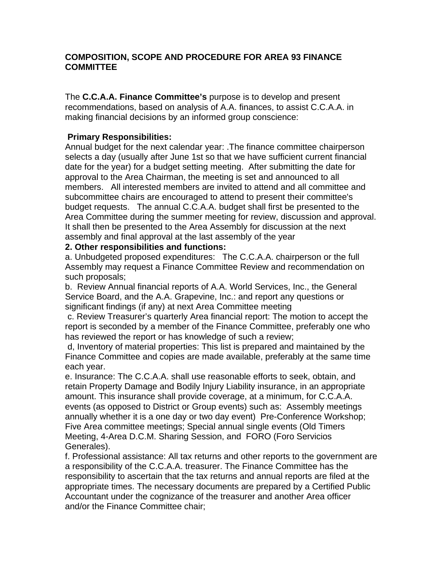## **COMPOSITION, SCOPE AND PROCEDURE FOR AREA 93 FINANCE COMMITTEE**

The **C.C.A.A. Finance Committee's** purpose is to develop and present recommendations, based on analysis of A.A. finances, to assist C.C.A.A. in making financial decisions by an informed group conscience:

## **Primary Responsibilities:**

Annual budget for the next calendar year: .The finance committee chairperson selects a day (usually after June 1st so that we have sufficient current financial date for the year) for a budget setting meeting. After submitting the date for approval to the Area Chairman, the meeting is set and announced to all members. All interested members are invited to attend and all committee and subcommittee chairs are encouraged to attend to present their committee's budget requests. The annual C.C.A.A. budget shall first be presented to the Area Committee during the summer meeting for review, discussion and approval. It shall then be presented to the Area Assembly for discussion at the next assembly and final approval at the last assembly of the year

## **2. Other responsibilities and functions:**

a. Unbudgeted proposed expenditures: The C.C.A.A. chairperson or the full Assembly may request a Finance Committee Review and recommendation on such proposals;

b. Review Annual financial reports of A.A. World Services, Inc., the General Service Board, and the A.A. Grapevine, Inc.: and report any questions or significant findings (if any) at next Area Committee meeting

 c. Review Treasurer's quarterly Area financial report: The motion to accept the report is seconded by a member of the Finance Committee, preferably one who has reviewed the report or has knowledge of such a review;

 d, Inventory of material properties: This list is prepared and maintained by the Finance Committee and copies are made available, preferably at the same time each year.

e. Insurance: The C.C.A.A. shall use reasonable efforts to seek, obtain, and retain Property Damage and Bodily Injury Liability insurance, in an appropriate amount. This insurance shall provide coverage, at a minimum, for C.C.A.A. events (as opposed to District or Group events) such as: Assembly meetings annually whether it is a one day or two day event) Pre-Conference Workshop; Five Area committee meetings; Special annual single events (Old Timers Meeting, 4-Area D.C.M. Sharing Session, and FORO (Foro Servicios Generales).

f. Professional assistance: All tax returns and other reports to the government are a responsibility of the C.C.A.A. treasurer. The Finance Committee has the responsibility to ascertain that the tax returns and annual reports are filed at the appropriate times. The necessary documents are prepared by a Certified Public Accountant under the cognizance of the treasurer and another Area officer and/or the Finance Committee chair;